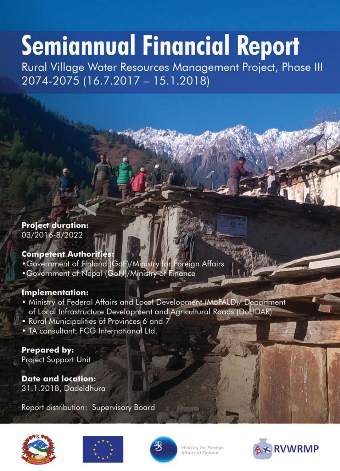# **Semiannual Financial Report**

Rural Village Water Resources Management Project, Phase III 2074-2075 (16.7.2017 - 15.1.2018)

# **Project duration:**

03/2016-8/2022

### **Competent Authorities:**

- . Government of Finland (GoF)/Ministry for Foreign Affairs
- . Government of Nepal (GoN)/Ministry of Finance

## **Implementation:**

- . Ministry of Federal Affairs and Local Development (MoFALD)/ Department of Local Infrastructure Development and Agricultural Roads (DoLIDAR)
- . Rural Municipalities of Provinces 6 and 7
- . TA consultant: FCG International Ltd.

#### **Prepared by: Project Support Unit**

**Date and location:** 31.1.2018, Dadeldhura

Report distribution: Supervisory Board







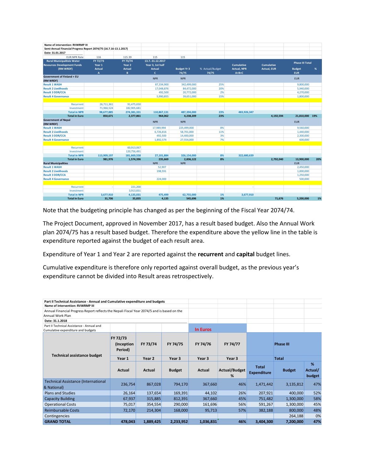| Name of intervention: RVWRMP III                                  |               |               |                  |                    |                 |                    |                    |                        |     |
|-------------------------------------------------------------------|---------------|---------------|------------------|--------------------|-----------------|--------------------|--------------------|------------------------|-----|
| Semi-Annual Financial Progress Report 2074/75 (16.7.16-13.1.2017) |               |               |                  |                    |                 |                    |                    |                        |     |
| Date: 31.01.2017                                                  |               |               |                  |                    |                 |                    |                    |                        |     |
| <b>EUR:NPR Rate</b>                                               | 116           | 115.39        | 115              | 115                |                 |                    |                    |                        |     |
| <b>Rural Municipaliteis Water</b>                                 | FY 72/73      | FY 73/74      | 13.7.-31.12.2017 |                    |                 |                    |                    |                        |     |
| <b>Resources Development Funds</b>                                | Year 1        | Year 2        | Year 3, 1st half |                    |                 | <b>Cumulative</b>  | <b>Cumulative</b>  | <b>Phase III Total</b> |     |
| (RM WRDF)                                                         | <b>Actual</b> | <b>Actual</b> | <b>Actual</b>    | <b>Budget Yr 3</b> | % Actual/Budget | <b>Actual, NPR</b> | <b>Actual, EUR</b> | <b>Budget</b>          | %   |
|                                                                   | $\mathbf{A}$  | B             | $\mathbf{c}$     | 74/75              | 74/75           | $A+B+C$            |                    | <b>EUR</b>             |     |
| <b>Government of Finland + EU</b><br>(RM WRDF)                    |               |               | <b>NPR</b>       | <b>NPR</b>         |                 |                    |                    | <b>EUR</b>             |     |
| <b>Result 1 WASH</b>                                              |               |               | 87,334,900       | 342,499,000        | 25%             |                    |                    | 9,800,000              |     |
| <b>Result 2 Livelihoods</b>                                       |               |               | 17,048,876       | 84,472,000         | 20%             |                    |                    | 5,940,000              |     |
| <b>Result 3 DDR/CCA</b>                                           |               |               | 492,500          | 20,772,000         | 2%              |                    |                    | 4,270,000              |     |
| <b>Result 4 Governance</b>                                        |               |               | 5,990,855        | 39,651,000         | 15%             |                    |                    | 1,800,000              |     |
|                                                                   |               |               |                  |                    |                 |                    |                    |                        |     |
| Recurrent                                                         | 26,711,361    | 91,475,650    |                  |                    |                 |                    |                    |                        |     |
| Investment                                                        | 71,966,524    | 182,905,681   |                  |                    |                 |                    |                    |                        |     |
| <b>Total in NPR</b>                                               | 98,677,885    | 274,381,331   | 110,867,131      | 487,394,000        | 23%             | 483,926,347        |                    |                        |     |
| <b>Total in Euro</b>                                              | 850,671       | 2,377,861     | 964,062          | 4,238,209          | 23%             |                    | 4,192,594          | 21,810,000 19%         |     |
| <b>Government of Nepal</b><br>(RM WRDF)                           |               |               | <b>NPR</b>       | <b>NPR</b>         |                 |                    |                    | <b>EUR</b>             |     |
| <b>Result 1 WASH</b>                                              |               |               | 17,989,994       | 225,499,000        | 8%              |                    |                    | 9,560,000              |     |
| <b>Result 2 Livelihoods</b>                                       |               |               | 6,726,816        | 58,701,000         | 11%             |                    |                    | 1,440,000              |     |
| <b>Result 3 DDR/CCA</b>                                           |               |               | 492,500          | 14,400,000         | 3%              |                    |                    | 2,300,000              |     |
| <b>Result 4 Governance</b>                                        |               |               | 1,892,574        | 27,554,000         | 7%              |                    |                    | 600,000                |     |
| Recurrent                                                         |               | 60,913,067    |                  |                    |                 |                    |                    |                        |     |
| Investment                                                        |               | 120,756,491   |                  |                    |                 |                    |                    |                        |     |
| <b>Total in NPR</b>                                               | 113,909,197   | 181,669,558   | 27,101,884       | 326,154,000        | 8%              | 322,680,639        |                    |                        |     |
| <b>Total in Euro</b>                                              | 981,976       | 1,574,396     | 235,669          | 2,836,122          | 8%              |                    | 2,792,040          | 13,900,000             | 20% |
| <b>Rural Municipalities</b>                                       |               |               | <b>NPR</b>       | <b>NPR</b>         |                 |                    |                    | <b>EUR</b>             |     |
| <b>Result 1 WASH</b>                                              |               |               | 52,907           |                    |                 |                    |                    | 2,450,000              |     |
| <b>Result 2 Livelihoods</b>                                       |               |               | 198,591          |                    |                 |                    |                    | 1,000,000              |     |
| <b>Result 3 DDR/CCA</b>                                           |               |               |                  |                    |                 |                    |                    | 1,250,000              |     |
| <b>Result 4 Governance</b>                                        |               |               | 224,000          |                    |                 |                    |                    | 500,000                |     |
| Recurrent                                                         |               | 221,200       |                  |                    |                 |                    |                    |                        |     |
| Investment                                                        |               | 3,913,831     |                  |                    |                 |                    |                    |                        |     |
| <b>Total in NPR</b>                                               | 3,677,910     | 4,135,031     | 475,499          | 62,755,000         | 1%              | 3,677,910          |                    |                        |     |
| <b>Total in Euro</b>                                              | 31.706        | 35,835        | 4,135            | 545,696            | 1%              |                    | 71,676             | 5.200.000              | 1%  |

Note that the budgeting principle has changed as per the beginning of the Fiscal Year 2074/74.

The Project Document, approved in November 2017, has a result based budget. Also the Annual Work plan 2074/75 has a result based budget. Therefore the expenditure above the yellow line in the table is expenditure reported against the budget of each result area.

Expenditure of Year 1 and Year 2 are reported against the **recurrent** and **capital** budget lines.

Cumulative expenditure is therefore only reported against overall budget, as the previous year's expenditure cannot be divided into Result areas retrospectively.

| Part II Technical Assistance - Annual and Cumulative expenditure and budgets                |                                               |           |               |                 |                           |                                    |                  |                        |
|---------------------------------------------------------------------------------------------|-----------------------------------------------|-----------|---------------|-----------------|---------------------------|------------------------------------|------------------|------------------------|
| Name of intervention: RVWRMP III                                                            |                                               |           |               |                 |                           |                                    |                  |                        |
| Annual Financial Progress Report reflects the Nepali Fiscal Year 2074/5 and is based on the |                                               |           |               |                 |                           |                                    |                  |                        |
| Annual Work Plan                                                                            |                                               |           |               |                 |                           |                                    |                  |                        |
| Date: 31.1.2018                                                                             |                                               |           |               |                 |                           |                                    |                  |                        |
| Part II Technical Assistance - Annual and                                                   |                                               |           |               |                 |                           |                                    |                  |                        |
| Cumulative expenditure and budgets                                                          |                                               |           |               | <b>In Euros</b> |                           |                                    |                  |                        |
|                                                                                             | FY 72/73<br>FY 73/74<br>(Inception<br>Period) |           | FY 74/75      | FY 74/76        | FY 74/77                  |                                    | <b>Phase III</b> |                        |
| <b>Technical assistance budget</b>                                                          | Year 1                                        | Year 2    | Year 3        | Year 3          | Year 3                    |                                    | <b>Total</b>     |                        |
|                                                                                             | Actual                                        | Actual    | <b>Budget</b> | Actual          | <b>Actual/Budget</b><br>% | <b>Total</b><br><b>Expenditure</b> | <b>Budget</b>    | %<br>Actual/<br>budget |
| <b>Technical Assistance (International</b>                                                  |                                               |           |               |                 |                           |                                    |                  |                        |
| & National)                                                                                 | 236,754                                       | 867,028   | 794,170       | 367,660         | 46%                       | 1,471,442                          | 3,135,812        | 47%                    |
| <b>Plans and Studies</b>                                                                    | 26,164                                        | 137,654   | 169,391       | 44,102          | 26%                       | 207,921                            | 400,000          | 52%                    |
| <b>Capacity Building</b>                                                                    | 67,937                                        | 315,885   | 812,391       | 367,660         | 45%                       | 751,482                            | 1,300,000        | 58%                    |
| <b>Operational Costs</b>                                                                    | 75,017                                        | 354,554   | 290,000       | 161,696         | 56%                       | 591,267                            | 1,300,000        | 45%                    |
| <b>Reimbursable Costs</b>                                                                   | 72,170                                        | 214,304   | 168,000       | 95,713          | 57%                       | 382,188                            | 800,000          | 48%                    |
| Contingencies                                                                               |                                               |           |               |                 |                           |                                    | 264,188          | 0%                     |
| <b>GRAND TOTAL</b>                                                                          | 478,043                                       | 1,889,425 | 2,233,952     | 1,036,831       | 46%                       | 3,404,300                          | 7,200,000        | 47%                    |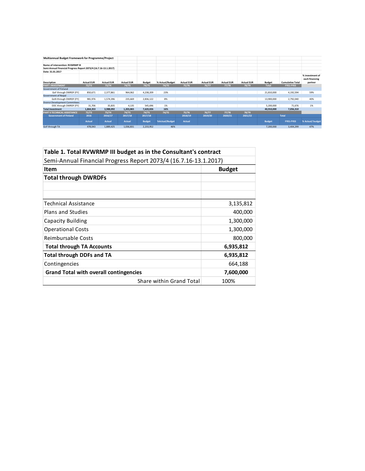| <b>Multiannual Budget Framework for Programme/Project</b>        |                   |                   |                   |               |                 |                   |                   |                   |                   |               |                         |                                              |
|------------------------------------------------------------------|-------------------|-------------------|-------------------|---------------|-----------------|-------------------|-------------------|-------------------|-------------------|---------------|-------------------------|----------------------------------------------|
| Name of intervention: RVWRMP III                                 |                   |                   |                   |               |                 |                   |                   |                   |                   |               |                         |                                              |
| Semi-Annual Financial Progress Report 2073/4 (16.7.16-13.1.2017) |                   |                   |                   |               |                 |                   |                   |                   |                   |               |                         |                                              |
| Date: 31.01.2017                                                 |                   |                   |                   |               |                 |                   |                   |                   |                   |               |                         |                                              |
| <b>Description</b>                                               | <b>Actual EUR</b> | <b>Actual EUR</b> | <b>Actual EUR</b> | <b>Budget</b> | % Actual/Budget | <b>Actual EUR</b> | <b>Actual EUR</b> | <b>Actual EUR</b> | <b>Actual EUR</b> | <b>Budget</b> | <b>Cumulative Total</b> | % investment of<br>each financing<br>partner |
| <b>PART I INVESTMENT</b>                                         | 72/73             | 73/74             | 74/75             | 74/75         | 74/75           | 75/76             | 76/77             | 77/78             | 78/79             | <b>Total</b>  | FY01-FY03               |                                              |
| Government of Finland                                            |                   |                   |                   |               |                 |                   |                   |                   |                   |               |                         |                                              |
| GoF through DWRDF (FY)                                           | 850,671           | 2,377,861         | 964,062           | 4,238,209     | 23%             |                   |                   |                   |                   | 21,810,000    | 4,192,594               | 59%                                          |
| <b>Government of Nepal</b>                                       |                   |                   |                   |               |                 |                   |                   |                   |                   |               |                         |                                              |
| GoN through DWRDF (FY)                                           | 981,976           | 1,574,396         | 235.669           | 2,836,122     | 8%              |                   |                   |                   |                   | 13,900,000    | 2,792,040               | 40%                                          |
| <b>District Development Committees</b>                           |                   |                   |                   |               |                 |                   |                   |                   |                   |               |                         |                                              |
| DDC through DWRDF (FY)                                           | 31,706            | 35,835            | 4,135             | 545,696       | 1%              |                   |                   |                   |                   | 5,200,000     | 71,676                  | 1%                                           |
| <b>Total Investment</b>                                          | 1,864,353         | 3,988,092         | 1,203,865         | 7,620,026     | 16%             |                   |                   |                   |                   | 40,910,000    | 7,056,310               |                                              |
| PART II TECHNICAL ASSISTANCE                                     | 72/73             | 73/74             | 74/75             | 74/75         | 74/75           | 75/76             | 76/77             | 77/78             | 78/79             |               |                         |                                              |
| <b>Government of Finland</b>                                     | 2016              | 2016/17           | 2017/18           | 2017/18       |                 | 2018/19           | 2019/20           | 2020/21           | 2021/22           | <b>Total</b>  |                         |                                              |
|                                                                  | <b>Actual</b>     | <b>Actual</b>     | <b>Actual</b>     | <b>Budget</b> | %Actual/Budget  | <b>Actual</b>     |                   |                   |                   | <b>Budget</b> | <b>FY01-FY03</b>        | % Actual/budget                              |
| GoF through TA                                                   | 478,043           | 1,889,425         | 1,036,831         | 2,233,952     | 46%             |                   |                   |                   |                   | 7,200,000     | 3,404,299               | 47%                                          |

| Table 1. Total RVWRMP III budget as in the Consultant's contract |                          |           |  |
|------------------------------------------------------------------|--------------------------|-----------|--|
| Semi-Annual Financial Progress Report 2073/4 (16.7.16-13.1.2017) |                          |           |  |
| <b>Item</b>                                                      | <b>Budget</b>            |           |  |
| <b>Total through DWRDFs</b>                                      |                          |           |  |
|                                                                  |                          |           |  |
|                                                                  |                          |           |  |
| Technical Assistance                                             |                          | 3,135,812 |  |
| <b>Plans and Studies</b>                                         |                          | 400,000   |  |
| Capacity Building                                                |                          | 1,300,000 |  |
| <b>Operational Costs</b>                                         |                          | 1,300,000 |  |
| Reimbursable Costs                                               |                          | 800,000   |  |
| <b>Total through TA Accounts</b>                                 |                          | 6,935,812 |  |
| <b>Total through DDFs and TA</b>                                 |                          | 6,935,812 |  |
| Contingencies                                                    |                          | 664,188   |  |
| <b>Grand Total with overall contingencies</b>                    |                          | 7,600,000 |  |
|                                                                  | Share within Grand Total | 100%      |  |